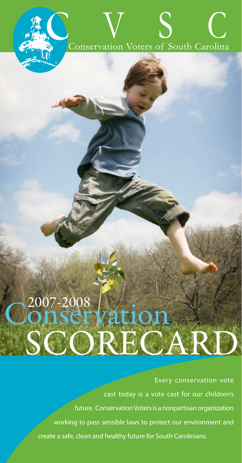# Conservation Voters of South Carolina

# Conservation 2007-2008**SCOREC**

Every conservation vote cast today is a vote cast for our children's future. Conservation Voters is a nonpartisan organization working to pass sensible laws to protect our environment and create a safe, clean and healthy future for South Carolinians.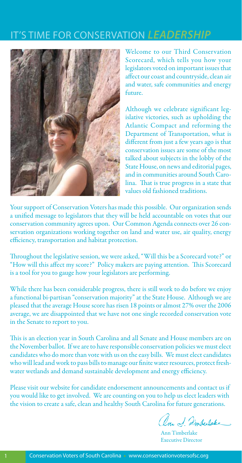# **IT'S TIME FOR CONSERVATION** *LEADERSHIP*



Welcome to our Third Conservation Scorecard, which tells you how your legislators voted on important issues that affect our coast and countryside, clean air and water, safe communities and energy future.

Although we celebrate significant legislative victories, such as upholding the Atlantic Compact and reforming the Department of Transportation, what is different from just a few years ago is that conservation issues are some of the most talked about subjects in the lobby of the State House, on news and editorial pages, and in communities around South Carolina. That is true progress in a state that values old fashioned traditions.

Your support of Conservation Voters has made this possible. Our organization sends a unified message to legislators that they will be held accountable on votes that our conservation community agrees upon. Our Common Agenda connects over 26 conservation organizations working together on land and water use, air quality, energy efficiency, transportation and habitat protection.

Throughout the legislative session, we were asked, "Will this be a Scorecard vote?" or "How will this affect my score?" Policy makers are paying attention. This Scorecard is a tool for you to gauge how your legislators are performing.

While there has been considerable progress, there is still work to do before we enjoy a functional bi-partisan "conservation majority" at the State House. Although we are pleased that the average House score has risen 18 points or almost 27% over the 2006 average, we are disappointed that we have not one single recorded conservation vote in the Senate to report to you.

This is an election year in South Carolina and all Senate and House members are on the November ballot. If we are to have responsible conservation policies we must elect candidates who do more than vote with us on the easy bills. We must elect candidates who will lead and work to pass bills to manage our finite water resources, protect freshwater wetlands and demand sustainable development and energy efficiency.

Please visit our website for candidate endorsement announcements and contact us if you would like to get involved. We are counting on you to help us elect leaders with the vision to create a safe, clean and healthy South Carolina for future generations.

am d. Impulske

Ann Timberlake Executive Director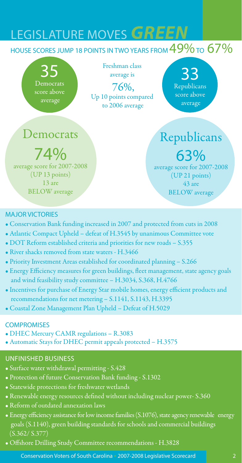# LEGISLATURE MOVES **GREEN**

#### HOUSE SCORES JUMP 18 POINTS IN TWO YEARS FROM  $49\%$  to  $67\%$



#### MAJOR VICTORIES

- Conservation Bank funding increased in 2007 and protected from cuts in 2008
- Atlantic Compact Upheld defeat of H.3545 by unanimous Committee vote
- DOT Reform established criteria and priorities for new roads S.355
- River shacks removed from state waters H.3466
- Priority Investment Areas established for coordinated planning S.266
- Energy Efficiency measures for green buildings, fleet management, state agency goals and wind feasibility study committee – H.3034, S.368, H.4766
- Incentives for purchase of Energy Star mobile homes, energy efficient products and recommendations for net metering – S.1141, S.1143, H.3395
- Coastal Zone Management Plan Upheld Defeat of H.5029

#### **COMPROMISES**

- DHEC Mercury CAMR regulations R.3083
- Automatic Stays for DHEC permit appeals protected H.3575

#### Unfinished Business

- Surface water withdrawal permitting S.428
- Protection of future Conservation Bank funding S.1302
- Statewide protections for freshwater wetlands
- Renewable energy resources defined without including nuclear power- S.360
- Reform of outdated annexation laws
- Energy efficiency assistance for low income families (S.1076), state agency renewable energy goals (S.1140), green building standards for schools and commercial buildings (S.362/ S.377)
- Offshore Drilling Study Committee recommendations H.3828

Conservation Voters of South Carolina 2007-2008 Legislative Scorecard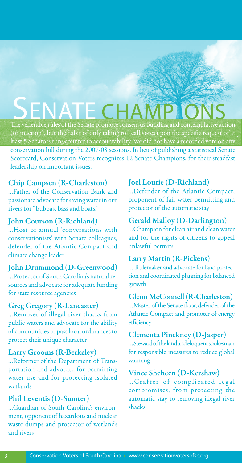# SENATE CHAMP ONS<br>The venerable rules of the Senate promote consensus building and contemplative action

(or inaction), but the habit of only taking roll call votes upon the specific request of at least 5 Senators runs counter to accountability. We did not have a recorded vote on any conservation bill during the 2007-08 sessions. In lieu of publishing a statistical Senate Scorecard, Conservation Voters recognizes 12 Senate Champions, for their steadfast leadership on important issues.

#### Chip Campsen (R-Charleston)

…Father of the Conservation Bank and passionate advocate for saving water in our rivers for "bubbas, bass and boats."

#### John Courson (R-Richland)

…Host of annual 'conversations with conservationists' with Senate colleagues, defender of the Atlantic Compact and climate change leader

#### John Drummond (D-Greenwood)

…Protector of South Carolina's natural resources and advocate for adequate funding for state resource agencies

#### Greg Gregory (R-Lancaster)

…Remover of illegal river shacks from public waters and advocate for the ability of communities to pass local ordinances to protect their unique character

#### Larry Grooms (R-Berkeley)

…Reformer of the Department of Transportation and advocate for permitting water use and for protecting isolated wetlands

#### Phil Leventis (D-Sumter)

…Guardian of South Carolina's environment, opponent of hazardous and nuclear waste dumps and protector of wetlands and rivers

#### Joel Lourie (D-Richland)

…Defender of the Atlantic Compact, proponent of fair water permitting and protector of the automatic stay

#### Gerald Malloy (D-Darlington)

…Champion for clean air and clean water and for the rights of citizens to appeal unlawful permits

#### Larry Martin (R-Pickens)

… Rulemaker and advocate for land protection and coordinated planning for balanced growth

#### Glenn McConnell (R-Charleston)

…Master of the Senate floor, defender of the Atlantic Compact and promoter of energy efficiency

#### Clementa Pinckney (D-Jasper)

…Steward of the land and eloquent spokesman for responsible measures to reduce global warming

#### Vince Sheheen (D-Kershaw)

... Crafter of complicated legal compromises, from protecting the automatic stay to removing illegal river shacks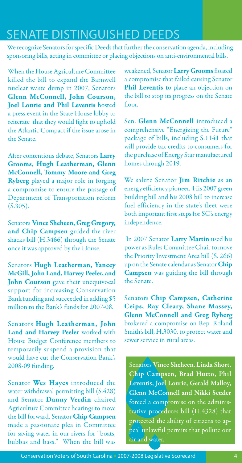#### **SENATE DISTINGUISHED DEEDS**

We recognize Senators for specific Deeds that further the conservation agenda, including sponsoring bills, acting in committee or placing objections on anti-environmental bills.

When the House Agriculture Committee killed the bill to expand the Barnwell nuclear waste dump in 2007, Senators **Glenn McConnell, John Courson, Joel Lourie and Phil Leventis** hosted a press event in the State House lobby to reiterate that they would fight to uphold the Atlantic Compact if the issue arose in the Senate.

After contentious debate, Senators **Larry Grooms, Hugh Leatherman, Glenn McConnell, Tommy Moore and Greg Ryberg** played a major role in forging a compromise to ensure the passage of Department of Transportation reform  $(S.305).$ 

Senators **Vince Sheheen, Greg Gregory, and Chip Campsen** guided the river shacks bill (H.3466) through the Senate once it was approved by the House.

Senators **Hugh Leatherman, Yancey McGill, John Land, Harvey Peeler, and John Courson** gave their unequivocal support for increasing Conservation Bank funding and succeeded in adding \$5 million to the Bank's funds for 2007-08.

Senators **Hugh Leatherman, John Land and Harvey Peeler** worked with House Budget Conference members to temporarily suspend a provision that would have cut the Conservation Bank's 2008-09 funding.

Senator **Wes Hayes** introduced the water withdrawal permitting bill (S.428) and Senator **Danny Verdin** chaired Agriculture Committee hearings to move the bill forward. Senator **Chip Campsen** made a passionate plea in Committee for saving water in our rivers for "boats, bubbas and bass." When the bill was weakened, Senator **Larry Grooms** floated a compromise that failed causing Senator **Phil Leventis t**o place an objection on the bill to stop its progress on the Senate floor.

Sen. **Glenn McConnell** introduced a comprehensive "Energizing the Future" package of bills, including S.1141 that will provide tax credits to consumers for the purchase of Energy Star manufactured homes through 2019.

We salute Senator **Jim Ritchie** as an energy efficiency pioneer. His 2007 green building bill and his 2008 bill to increase fuel efficiency in the state's fleet were both important first steps for SC's energy independence.

 In 2007 Senator **Larry Martin** used his power as Rules Committee Chair to move the Priority Investment Area bill (S. 266) up on the Senate calendar as Senator **Chip Campsen** was guiding the bill through the Senate.

Senators **Chip Campsen, Catherine Ceips, Ray Cleary, Shane Massey, Glenn McConnell and Greg Ryberg** brokered a compromise on Rep. Roland Smith's bill, H.3030, to protect water and sewer service in rural areas.

Senators Vince Sheheen, Linda Short, Chip Campsen, Brad Hutto, Phil Leventis, Joel Lourie, Gerald Malloy, Glenn McConnell and Nikki Setzler forced a compromise on the administrative procedures bill (H.4328) that protected the ability of citizens to appeal unlawful permits that pollute our air and water.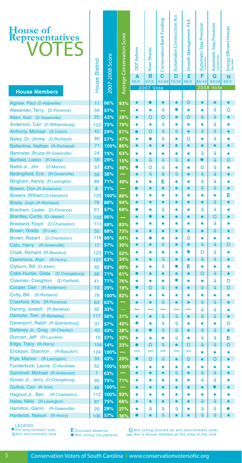| House of<br>Representatives<br>VOTES<br><b>House Members</b> | <b>District</b><br>House | 2007-2008 Score | <b>Average Conservation Score</b> | <b>DOT Reform</b><br>A<br>99/0 | <b>River Shacks</b><br>в<br>87/5<br><b>2007 Vote</b> | Conservation Bank Funding<br>C<br>44/69 | Sustainable Construction Act<br>D<br>79/30 | Growth Management-P.I.A.<br>Е<br>98/0 | Stay Provision<br>Automatic S<br>F<br>66/44 | Automatic Stay Provision<br>2nd Veto Vote<br>G<br>92/26<br><b>2008 Vote</b> | Energy Efficient Homes<br>vervore<br>н<br>99/0 |
|--------------------------------------------------------------|--------------------------|-----------------|-----------------------------------|--------------------------------|------------------------------------------------------|-----------------------------------------|--------------------------------------------|---------------------------------------|---------------------------------------------|-----------------------------------------------------------------------------|------------------------------------------------|
| Agnew, Paul (D-Abbeville)                                    | 11                       | 86%             | 93%                               | ★                              | $\bullet$                                            | ★                                       | ★                                          | O                                     | $\bigstar$                                  | ★                                                                           | ★                                              |
| Alexander, Terry (D-Florence)                                | 59                       | 57%             |                                   | ★                              | $\bigstar$                                           | đ                                       | œ                                          | ★                                     | ★                                           | û                                                                           | O                                              |
| Allen, Karl (D-Greenville)                                   | 25                       | 43%             | 28%                               | $\bigstar$                     | O                                                    | O                                       | $\bigstar$                                 | O                                     | $\mathbf{r}$                                | û                                                                           | $\bigstar$                                     |
| Anderson, Carl (D-Williamsburg)                              | 103                      | 75%             | 79%                               | ★                              | $\bigstar$                                           | ⇩                                       | ★                                          | ★                                     | ★                                           | J                                                                           | ★                                              |
| Anthony, Michael (D-Union)                                   | 42                       | 29%             | 51%                               | ●                              | O                                                    | ⇩                                       | ſ.                                         | $\bigstar$                            | $\mathbf{r}$                                | $\overline{u}$                                                              | $\bigstar$                                     |
| Bales, Dr. Jimmy (D-Richland)                                | 80                       | 57%             | 47%                               | ★                              | $\bullet$                                            | ⇩                                       | ★                                          | O                                     | $\bigstar$                                  | ⇩                                                                           |                                                |
| Ballentine, Nathan (R-Richland)                              | 71                       | 100%            | 86%                               | ★                              | ★                                                    | ★                                       | $\bigstar$                                 | $\bigstar$                            | $\bigstar$                                  | ★                                                                           | $\bigstar$                                     |
| Bannister, Bruce (R-Greenville)                              |                          |                 |                                   |                                |                                                      |                                         |                                            |                                       | ⇩                                           | ⇩                                                                           |                                                |
| Barfield, Liston (R-Horry)                                   | 24<br>58                 | 75%<br>29%      | 63%                               | ★<br>★                         | ★<br>⇩                                               | ★<br>$\mathbf{r}$                       | ★<br>IJ.                                   | ★<br>$\bigstar$                       | ●                                           | Û                                                                           | ★<br>O                                         |
| Battle Jr., Jim<br>(D-Marion)                                |                          |                 | 15%                               | $\bullet$                      |                                                      | ⇩                                       |                                            |                                       |                                             | ⇩                                                                           |                                                |
| Bedingfield, Eric (R-Greenville)                             | 57                       | 43%<br>38%      | 49%                               | ★                              | O<br>$\mathbf{r}$                                    | $\mathbf{r}$                            | ★<br>Û.                                    | ★<br>$\bigstar$                       | O<br>$\mathbf{r}$                           | $\mathbf{r}$                                                                | ★<br>$\bigstar$                                |
| Bingham, Kenny (R-Lexington)                                 | 28                       | 71%             |                                   |                                |                                                      |                                         |                                            | $\bigstar$                            | ⇩                                           | J                                                                           |                                                |
|                                                              | 89<br>8                  | 71%             | 49%                               | ★<br>D                         | ★<br>$\bigstar$                                      | Е<br>$\bigstar$                         | ★<br>★                                     | $\bigstar$                            | ⇩                                           | û                                                                           | ★<br>$\bigstar$                                |
| Bowen, Don (R-Anderson)<br>Bowers, William (D-Hampton)       | 120                      | 100%            |                                   | ★                              | ★                                                    | ★                                       | ★                                          | ★                                     | ★                                           | ★                                                                           | Е                                              |
| Brady, Joan (R-Richland)                                     | 78                       | 88%             | 86%<br>94%                        | ★                              | ★                                                    | $\bigstar$                              | $\bigstar$                                 | $\bigstar$                            | $\bigstar$                                  | IJ,                                                                         | $\bigstar$                                     |
| Branham, Lester (D-Florence)                                 | 61                       | 57%             | 69%                               | $\bullet$                      | ★                                                    | ⇩                                       | ★                                          | ★                                     | ⇩                                           | Û                                                                           | ★                                              |
| <b>Brantley, Curtis (D-Jasper)</b>                           |                          | 86%             |                                   | ★                              | $\bullet$                                            | $\bigstar$                              | $\bigstar$                                 | $\bigstar$                            | $\bigstar$                                  | O                                                                           | $\bigstar$                                     |
| Breeland, Floyd (D-Charleston)                               | 122<br>111               |                 |                                   | ★                              | ★                                                    | ★                                       | ★                                          | ★                                     | ★                                           | ⇩                                                                           | ★                                              |
| Brown, Grady (D-Lee)                                         | 50                       | 88%             | 83%<br>73%                        | ★                              | ★                                                    | $\bigstar$                              | $\bigstar$                                 | $\star$                               | $\bigstar$                                  | J                                                                           | $\bigstar$                                     |
| Brown, Robert (D-Charleston)                                 | 116                      | 88%<br>86%      | 84%                               | ★                              | 0                                                    | ★                                       | ★                                          | O                                     | $\bigstar$                                  | ★                                                                           | ★                                              |
| Cato, Harry (R-Greenville)                                   | 17                       | 57%             | 30%                               | ★                              | $\bigstar$                                           | ⇩                                       | ★                                          | $\star$                               | $\mathbf{r}$                                | ⇩                                                                           | O                                              |
| Chalk, Richard (R-Beaufort)                                  |                          |                 |                                   | ★                              | ★                                                    | ★                                       | ★                                          | $\bullet$                             | O                                           | J                                                                           | ★                                              |
| Clemmons, Alan (R-Horry)                                     | 123<br>107               | 71%<br>63%      | 52%<br>34%                        | ★                              | ★                                                    | ⇩                                       | ★                                          | $\star$                               | $\overline{u}$                              | ⇩                                                                           | $\bigstar$                                     |
| Clyburn, Bill (D-Aiken)                                      | 82                       | 83%             | 80%                               | ★                              | ★                                                    | ŋ.                                      |                                            | E                                     | ★                                           | ★                                                                           | ★                                              |
| Cobb-Hunter, Gilda (D-Orangeburg)                            | 66                       | 71%             |                                   | o                              | ★                                                    | ★                                       | ★                                          | ★                                     | O                                           | ⇩                                                                           | ★                                              |
| Coleman, Creighton<br>(D-Fairfield)                          |                          | 71%             | 61%<br>76%                        | ★                              | $\bigstar$                                           | ★                                       | $\bullet$                                  | $\bigstar$                            | $\bigstar$                                  | ⇩                                                                           | O                                              |
| Cooper, Dan (R-Anderson)                                     | 41<br>10                 | 29%             | 19%                               | $\bullet$                      | O                                                    | $\mathbf{r}$                            | $\bigstar$                                 | $\bigstar$                            | ⇩                                           | ⇩                                                                           | O                                              |
| Cotty, Bill (R-Richland)                                     |                          |                 |                                   |                                | $\bigstar$                                           | ★                                       | $\bigstar$                                 | $\bigstar$                            | $\bigstar$                                  | ★                                                                           |                                                |
| Crawford, Kris (R-Florence)                                  | 79<br>63                 | 100%<br>63%     | 82%<br>-                          | ★<br>★                         | $\bigstar$                                           | $\hat{\mathbf{r}}$                      | $\star$                                    | $\bigstar$                            | $\mathbf{r}$                                | ⇩                                                                           | ★<br>$\bigstar$                                |
| Daning, Joseph (R-Berkeley)                                  | 92                       | 33%             | $\overline{\phantom{0}}$          |                                |                                                      |                                         |                                            |                                       | ⇩                                           | Û,                                                                          | ★                                              |
| Dantzler, Tom (R-Berkeley)                                   | 117                      | 50%             | 31%                               | ★                              | $\bigstar$                                           | ⇩                                       | $\mathbf{r}$                               | $\star$                               | ⇩                                           | ⇩                                                                           | $\star$                                        |
| Davenport, Ralph (R-Spartanburg)                             | 37                       | 57%             | 45%                               | $\bullet$                      | $\bigstar$                                           | ⇩                                       | ⇩                                          | $\bigstar$                            | $\bigstar$                                  | ★                                                                           | O                                              |
| Delleney Jr., Greg (R-Chester)                               | 43                       | 43%             | 38%                               | ★                              | $\bullet$                                            | ⇩                                       | Û.                                         | $\bigstar$                            | ⇩                                           | ⇩                                                                           | $\bigstar$                                     |
| Duncan, Jeff (R-Laurens)                                     | 15                       | 57%             | 32%                               | ★                              | $\bigstar$                                           | $\bigstar$                              | Û.                                         | $\bigstar$                            | ⇩                                           | ⇩                                                                           | Е                                              |
| Edge, Tracy (R-Horry)                                        | 104                      | 14%             | 23%                               | $\bullet$                      | $\overline{O}$                                       | $\mathbf{r}$                            | $\star$                                    | $\circ$                               | ⇩                                           | ⇩                                                                           | O                                              |
| Erickson, Shannon (R-Beaufort)                               | 124                      | 100%            |                                   |                                |                                                      | -                                       |                                            |                                       | ★                                           | ★                                                                           | ★                                              |
| Frye, Marion (R-Lexington)                                   | 39                       | 43%             | 20%                               | $\bullet$                      | O                                                    | $\mathbf{r}$                            | $\star$                                    | O                                     | $\bigstar$                                  | O                                                                           | $\bigstar$                                     |
| Funderburk, Laurie (D-Kershaw)                               | 52                       | 100%            | 100%                              | ★                              | ★                                                    |                                         | ★                                          | ★                                     | $\bigstar$                                  | ★                                                                           |                                                |
| Gambrell, Michael (R-Anderson)                               | $\overline{7}$           | 63%             |                                   | ★                              | $\bigstar$                                           | ★<br>$\bigstar$                         | Û.                                         | $\bigstar$                            | ⇩                                           | ⇩                                                                           | ★<br>$\bigstar$                                |
| Govan Jr., Jerry (D-Orangeburg)                              | 95                       | 75%             | 71%                               | ★                              | ★                                                    | ★                                       | ★                                          | ★                                     | ⇩                                           | ⇩                                                                           | ★                                              |
| Gullick, Carl (R-York)                                       | 48                       | 100%            |                                   | ★                              | ★                                                    | ★                                       | $\star$                                    | $\bigstar$                            | $\star$                                     | $\bullet$                                                                   | ★                                              |
| Hagood Jr., Ben<br>(R-Charleston)                            | 112                      | 100%            | 93%                               | ★                              | ★                                                    | ★                                       | ★                                          | ★                                     | ★                                           | ★                                                                           | ★                                              |
| Haley, Nikki (R-Lexington)                                   | 87                       | 75%             | 66%                               | ★                              | $\bigstar$                                           | $\bigstar$                              | $\bigstar$                                 | $\bigstar$                            | $\overline{u}$                              | J.                                                                          | $\bigstar$                                     |
| Hamilton, Glenn (R-Greenville)                               | 20                       | 29%             | 27%                               | ★                              | ⇩                                                    | ⇩                                       | ⇩                                          | ★                                     | ⇩                                           | ⇩                                                                           |                                                |
| Hardwick, Nelson (R-Horry)                                   | 106                      | 57%             | 36%                               |                                | $\bigstar$                                           | $\hat{\mathbf{r}}$                      | $\bigstar$                                 | $\bigstar$                            | $\overline{v}$                              | đ.                                                                          |                                                |
|                                                              |                          |                 |                                   |                                |                                                      |                                         |                                            |                                       |                                             |                                                                             |                                                |

LEGEND Pro environment vote Anti-environment vote Excused absence E Excused absence<br>• Not voting (no penalty)

O Not voting (scored as anti-environment vote) Not a House member at the time of the vote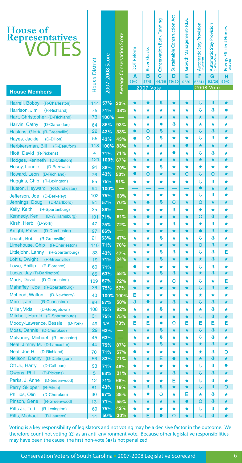| House of<br>Representatives<br>VOTES<br><b>House Members</b>        | House District | 2007-2008 Score | Average Conservation Score | DOT Reform<br>A<br>99/0 | <b>River Shacks</b><br>в<br>87/5<br>2007 Vote | Conservation Bank Funding<br>C | Sustainable Construction Act<br>D<br>44/69 79/30 | Growth Management-P.I.A.<br>E<br>98/0 | Automatic Stay Provision<br>F<br>66/44 | Automatic Stay Provision<br>G<br>92/26<br>2008 Vote | Energy Efficient Homes<br>н<br>99/0 |
|---------------------------------------------------------------------|----------------|-----------------|----------------------------|-------------------------|-----------------------------------------------|--------------------------------|--------------------------------------------------|---------------------------------------|----------------------------------------|-----------------------------------------------------|-------------------------------------|
| Harrell, Bobby (R-Charleston)                                       | 114            | 57%             | 32%                        | $\bigstar$              | $\bullet$                                     | ⇩                              | $\bigstar$                                       | $\bigstar$                            | $\mathbf{r}$                           | ⇩                                                   | $\bigstar$                          |
| Harrison, Jim<br>(R-Richland)                                       | 75             | 71%             | 38%                        | ★                       | ★                                             | ★                              | ★                                                | ★                                     | ⇩                                      | ⇩                                                   |                                     |
| Hart, Christopher (D-Richland)                                      | 73             | 100%            |                            | $\bigstar$              | $\bigstar$                                    | $\bigstar$                     | $\bigstar$                                       | $\bigstar$                            | $\bigstar$                             | $\bigstar$                                          | $\star$                             |
| Harvin, Cathy (D-Clarendon)                                         | 64             | 86%             | 93%                        | ★                       | $\bigstar$                                    | $\bullet$                      | ₿                                                | $\bigstar$                            | ★                                      | ★                                                   | ★                                   |
| Haskins, Gloria (R-Greenville)                                      | 22             | 43%             | 33%                        | $\bullet$               | O                                             | $\mathbf{r}$                   | $\bigstar$                                       | $\bigstar$                            | $\mathbf{r}$                           | $\hat{\mathbf{r}}$                                  | $\bigstar$                          |
| Hayes, Jackie<br>(D-Dillon)                                         | 55             | 43%             | 43%                        | $\bullet$               | O                                             | đ                              | $\bigstar$                                       | $\bigstar$                            | ⇩                                      | û                                                   | $\bigstar$                          |
| Herbkersman, Bill<br>(R-Beaufort)                                   | 118            | 100%            | 83%                        | $\bigstar$              | $\bigstar$                                    | $\bigstar$                     | $\bigstar$                                       | ●                                     | $\bigstar$                             | $\bigstar$                                          | $\bigstar$                          |
| Hiott, David (R-Pickens)                                            | 4              | 71%             | 71%                        | ★                       | ★                                             | $\bigstar$                     | O                                                | ★                                     | ⇩                                      | J                                                   | ★                                   |
| Hodges, Kenneth (D-Colleton)                                        | 121            | 100%            | 67%                        | $\bigstar$              | $\bigstar$                                    | $\bigstar$                     | $\bigstar$                                       | $\bigstar$                            | $\bigstar$                             | $\bigstar$                                          | $\bigstar$                          |
| Hosey, Lonnie<br>(D-Barnwell)                                       | 91             | 88%             | 70%                        | ★                       | $\bigstar$                                    | ⇩                              | ★                                                | ★                                     | ★                                      | $\bigstar$                                          | $\bigstar$                          |
| Howard, Leon (D-Richland)                                           | 76             | 43%             | 50%                        | $\bullet$               | O                                             | $\bigstar$                     | $\bigstar$                                       | O                                     | $\mathbf{r}$                           | $\Omega$                                            | $\bigstar$                          |
| Huggins, Chip (R-Lexington)                                         | 85             | 75%             | 51%                        | ★                       | ★                                             | ★                              | ★                                                | ★                                     | ⇩<br>$\bullet$                         | J                                                   | ★                                   |
| Hutson, Heyward (R-Dorchester)                                      | 94<br>102      | 100%            |                            | $\bigstar$              | $\bigstar$                                    | $\bigstar$                     | $\bigstar$                                       | $\bigstar$                            | ſ.                                     | $\bigstar$<br>⇩                                     | $\bigstar$<br>$\bigstar$            |
| Jefferson, Joe (D-Berkeley)<br>Jennings, Doug<br>(D-Marlboro)       | 54             | 75%<br>57%      | 63%<br>70%                 | $\bigstar$              | ●                                             | $\overline{u}$                 | O                                                | $\bigstar$                            | O                                      | $\bigstar$                                          | $\bigstar$                          |
| Kelly, Keith<br>(R-Spartanburg)                                     | 35             | 88%             |                            | ★                       | ★                                             | $\bigstar$                     | J                                                | $\bigstar$                            | ★                                      | ★                                                   | ★                                   |
| Kennedy, Ken<br>(D-Williamsburg)                                    | 101            | 71%             | 61%                        | $\bigstar$              | ●                                             | $\bigstar$                     | $\bigstar$                                       | $\bigstar$                            | O                                      | IJ.                                                 | $\bigstar$                          |
| Kirsh, Herb (D-York)                                                | 47             | 75%             | 72%                        | ★                       | ★                                             | $\bigstar$                     | J                                                | ★                                     | $\bigstar$                             | ⇩                                                   | $\bigstar$                          |
| Knight, Patsy<br>(D-Dorchester)                                     | 97             | 86%             |                            | $\bigstar$              | $\bigstar$                                    | $\bigstar$                     | $\bigstar$                                       | ★                                     | $\bullet$                              | J.                                                  | $\bigstar$                          |
| Leach, Bob<br>(R-Greenville)                                        | 21             | 63%             | 47%                        | ★                       | ★                                             | ⇩                              | ★                                                | ★                                     | ſ.                                     | ⇩                                                   | $\bigstar$                          |
| Limehouse, Chip (R-Charleston)                                      | 110            | 71%             | 70%                        | $\bigstar$              | $\bullet$                                     | $\bigstar$                     | ★                                                | $\bigstar$                            | O                                      | ⇩                                                   | $\bigstar$                          |
| Littlejohn, Lanny<br>(R-Spartanburg)                                | 33             | 43%             | 47%                        | ★                       | ★                                             | ⇩                              | J                                                | ★                                     | ⇩                                      | ⇩                                                   | Е                                   |
| Loftis, Dwight<br>(R-Greenville)                                    | 19             | 71%             | 24%                        | ★                       | $\bigstar$                                    | $\mathbf{r}$                   | $\bigstar$                                       |                                       | $\bigstar$                             | ⇩                                                   | $\bigstar$                          |
| Lowe, Phillip<br>(R-Florence)                                       | 60             | 71%             |                            | o                       | *                                             | $\bigstar$                     | $\bigstar$                                       | ★                                     | $\mathbf{r}$                           | Û                                                   | $\bigstar$                          |
| Lucas, Jay (R-Darlington)                                           | 65             | 63%             | 58%                        | ★                       | ★                                             | ⇩                              | ⇩                                                | ★                                     | ★                                      | ⇩                                                   | ★                                   |
| Mack, David<br>(D-Charleston)                                       | 109            | 67%             | 72%                        |                         | ★                                             | ★                              | O                                                | ★                                     | ⇩                                      | $\bigstar$                                          | Е                                   |
| Mahaffey, Joe (R-Spartanburg)                                       | 36             | 75%             | 57%                        | ★                       | $\bigstar$                                    | $\bigstar$                     | ★                                                | ★                                     | $\mathbf{r}$                           | $\overline{u}$                                      | $\bigstar$                          |
| McLeod, Walton<br>(D-Newberry)                                      | 40             | 100%            | 100%                       | Е                       | ★                                             | $\bigstar$                     | ★                                                | *                                     | ★                                      | ★                                                   | ★                                   |
| Merrill, Jim<br>(R-Charleston)                                      | 99             | 57%             | 50%                        | $\mathbf{\hat{u}}$      | $\bullet$                                     | $\bigstar$                     | ⇩                                                | ★                                     | $\hat{\mathbf{r}}$                     | $\mathbf{r}$                                        | $\bigstar$                          |
| Miller, Vida<br>(D-Georgetown)                                      | 108            | 75%             | 92%                        | ★                       | $\bigstar$                                    | ⇩                              | ★                                                | ★                                     | $\bigstar$                             | ⇩                                                   | ★                                   |
| Mitchell, Harold (D-Spartanburg)<br>Moody-Lawrence, Bessie (D-York) | 31             | 75%             | 75%                        | $\star$<br>Е            | $\bigstar$<br>Е                               | $\bigstar$<br>$\bullet$        | $\bigstar$<br>O                                  | ★<br>E.                               | $\hat{\mathbf{r}}$<br>Е                | $\mathbf{r}$<br>Е                                   | $\bigstar$<br>Е                     |
| Moss, Dennis (D-Cherokee)                                           | 49<br>29       | N/A<br>63%      | 73%<br>-                   | ★                       | ★                                             | $\mathbf{r}$                   | ★                                                | ★                                     | $\hat{\mathbf{r}}$                     | $\mathbf{r}$                                        | $\bigstar$                          |
| Mulvaney, Michael (R-Lancaster)                                     | 45             | 63%             | -                          | $\bigstar$              | $\bigstar$                                    | ⇩                              | ★                                                | ★                                     | ⇩                                      | ⇩                                                   | ★                                   |
| Neal, Jimmy M. (D-Lancaster)                                        | 44             | 75%             | 87%                        | ★                       | $\bigstar$                                    | ⇩                              | ★                                                | ★                                     | ★                                      | ⇩                                                   | $\bigstar$                          |
| Neal, Joe H. (D-Richland)                                           | 70             | 71%             | 57%                        | $\bullet$               | ★                                             | ★                              | ★                                                | ★                                     | ★                                      | ⇩                                                   | O                                   |
| Neilson, Denny (D-Darlington)                                       | 56             | 83%             | 71%                        | ★                       | $\bigstar$                                    | Е                              | $\bullet$                                        | ★                                     | ★                                      | ⇩                                                   | $\bigstar$                          |
| Ott Jr., Harry<br>(D-Calhoun)                                       | 93             | 71%             | 48%                        | ★                       | ★                                             | $\bigstar$                     | $\bigstar$                                       | ★                                     | ⇩                                      | ⇩                                                   | $\bullet$                           |
| Owens, Phil<br>(R-Pickens)                                          | 5              | 63%             | 31%                        | ★                       | $\bigstar$                                    | $\bigstar$                     | ⇩                                                | $\bigstar$                            | $\hat{\mathbf{r}}$                     | ⇩                                                   | $\bigstar$                          |
| Parks, J. Anne<br>(D-Greenwood)                                     | 12             | 71%             | 68%                        | ★                       | ★                                             | $\bigstar$                     | Е                                                | ★                                     | ⇩                                      | Û.                                                  | ★                                   |
| Perry, Skipper<br>(R-Aiken)                                         | 81             | 43%             | 19%                        | $\star$                 | Û                                             | ⇩                              | $\bigstar$                                       | ★                                     | ⇩                                      | ⇩                                                   | O                                   |
| Phillips, Olin<br>(D-Cherokee)                                      | 30             | 67%             | 38%                        | ★                       | $\bullet$                                     | O                              | ★                                                | Е.                                    | $\bigstar$                             | ⇩                                                   | ★                                   |
| Pinson, Gene<br>(R-Greenwood)                                       | 13             | 71%             | 55%                        | ★                       | $\bigstar$                                    | $\bigstar$                     | $\bigstar$                                       | $\bullet$                             | O                                      | ⇩                                                   | $\bigstar$                          |
| Pitts Jr., Ted<br>(R-Lexington)                                     | 69             | 75%             | 42%                        | ★                       | ★                                             | ★                              | ★                                                | ★                                     | ⇩                                      | û                                                   | ★                                   |
| Pitts, Michael<br>(R-Laurens)                                       | 14             | 50%             | 30%                        | $\bigstar$              | Ë                                             | $\bullet$                      | $\overline{O}$                                   | $\bigstar$                            | ⇩                                      | ⇩                                                   | $\bigstar$                          |

Voting is a key responsibility of legislators and not voting may be a decisive factor in the outcome. We therefore count not voting (O) as an anti-environment vote. Because other legislative responsibilities, may have been the cause, the first non-vote  $\left( \bullet \right)$  is not penalized.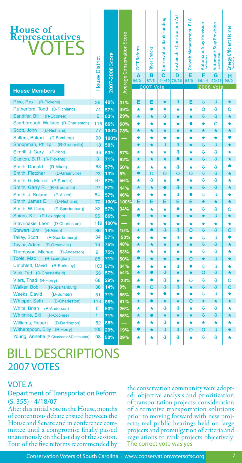| House of<br>Representatives<br>VOTES<br><b>House Members</b>          | House District | 2007-2008 Score | Average Conservation Score | DOT Reform<br>A<br>99/0 | <b>River Shacks</b><br>в<br>87/5<br>2007 Vote | Conservation Bank Funding<br>C | Sustainable Construction Act<br>D<br>44/69 79/30 | Growth Management- P.I.A.<br>Ë<br>98/0 | Automatic Stay Provision<br>F<br>66/44 | Automatic Stay Provision<br>G<br>92/26<br><b>2008 Vote</b> | Energy Efficient Homes<br>verovote<br>н<br>99/0 |
|-----------------------------------------------------------------------|----------------|-----------------|----------------------------|-------------------------|-----------------------------------------------|--------------------------------|--------------------------------------------------|----------------------------------------|----------------------------------------|------------------------------------------------------------|-------------------------------------------------|
| Rice, Rex (R-Pickens)                                                 | 26             | 40%             | 31%                        | Е                       | Е                                             | $\bigstar$                     | ⇩                                                | E                                      | ⇩                                      | ⇩                                                          | $\bigstar$                                      |
| Rutherford, Todd (D-Richland)                                         | 74             | 57%             | 39%                        | ★                       | ●                                             | ★                              | ★                                                | $\bigstar$                             | O                                      | $\mathbf{r}$                                               | O                                               |
| Sandifer, Bill (R-Oconee)                                             | $\overline{2}$ | 63%             | 29%                        | $\bigstar$              | $\bigstar$                                    | $\mathbf{r}$                   | $\bigstar$                                       | $\bigstar$                             | ŋ.                                     | $\mathbf{r}$                                               | $\bigstar$                                      |
| Scarborough, Wallace (R-Charleston)                                   | 115            | 86%             | 60%                        | ★                       | $\bigstar$                                    | $\bigstar$                     | ★                                                | 0                                      | ★                                      | O                                                          | $\bigstar$                                      |
| Scott, John (D-Richland)                                              | 77             | 100%            | 78%                        | $\bigstar$              | $\bigstar$                                    | $\bigstar$                     | $\bigstar$                                       | $\bigstar$                             | $\bigstar$                             | $\bigstar$                                                 | $\bigstar$                                      |
| Sellers, Bakari<br>(D-Bamberg)<br>Shoopman, Phillip<br>(R-Greenville) | 90             | 100%            |                            | ★<br>$\bigstar$         | *<br>$\bigstar$                               | ★<br>$\overline{u}$            | ★<br>$\mathbf{r}$                                | ★<br>$\bullet$                         | $\bigstar$<br>$\overline{u}$           | $\bigstar$<br>$\overline{u}$                               | $\bigstar$                                      |
| Simrill, J. Gary<br>(R-York)                                          | 18<br>46       | 50%             |                            | ★                       | $\bigstar$                                    | $\bigstar$                     | ⇩                                                | $\bigstar$                             | ⇩                                      | ⇩                                                          | ★                                               |
| Skelton, B. R. (R-Pickens)                                            | 3              | 63%<br>71%      | 57%<br>62%                 | ★                       | $\star$                                       | $\bigstar$                     | $\bullet$                                        | $\bigstar$                             | IJ,                                    | IJ,                                                        | $\bigstar$                                      |
| Smith, Donald<br>(R-Aiken)                                            | 83             | 57%             | 50%                        | ★                       | $\bigstar$                                    | $\bigstar$                     | ⇩                                                | $\bigstar$                             | J                                      | ⇩                                                          |                                                 |
| Smith, Fletcher<br>(D-Greenville)                                     | 23             | 14%             | 5%                         | ●                       | $\Omega$                                      | O                              | O                                                | O                                      | ſ,                                     | $\mathbf{r}$                                               | ★                                               |
| Smith, G. Murrell (R-Sumter)                                          | 67             | 57%             | 56%                        | ★                       | ⇩                                             | $\bigstar$                     | 0                                                | $\bigstar$                             | ⇩                                      | ⇩                                                          | ★                                               |
| Smith, Garry R. (R-Greenville)                                        | 27             | 57%             | 44%                        | ★                       | ★                                             | ●                              | $\mathbf{r}$                                     | $\bigstar$                             | ſ,                                     | $\mathbf{r}$                                               | ★                                               |
| Smith, J. Roland<br>(R-Aiken)                                         | 84             | 57%             | 46%                        | ★                       | ★                                             | ★                              | ⇩                                                | 0                                      | J                                      | ⇩                                                          | ★                                               |
| Smith, James E.<br>(D-Richland)                                       | 72             | 100%            | 100%                       | E.                      | Е                                             | Е                              | E                                                | Е                                      | $\bigstar$                             | $\bigstar$                                                 | $\bigstar$                                      |
| Smith, W. Doug<br>(R-Spartanburg)                                     | 32             | 57%             | 34%                        | ★                       | $\bigstar$                                    | $\bigstar$                     | 0                                                | $\bigstar$                             | ⇩                                      | ⇩                                                          | O                                               |
| Spires, Kit (R-Lexington)                                             | 96             | 86%             |                            | ●                       | $\bigstar$                                    | $\bigstar$                     | ★                                                | $\bigstar$                             | ★                                      | $\mathbf{r}$                                               | $\bigstar$                                      |
| Stavrinakis, Leon (D-Charleston)                                      | 119            | 100%            | د                          | ★                       | ★                                             | $\bigstar$                     | $\bigstar$                                       | $\bigstar$                             | ★                                      | $\bigstar$                                                 | ★                                               |
| Stewart, Jim<br>(R-Aiken)                                             | 86             | 14%             | 10%                        | $\bigstar$              | ●                                             | û                              | $\mathbf{r}$                                     | O                                      | û                                      | ⇩                                                          | $\overline{O}$                                  |
| <b>Talley, Scott</b><br>(R-Spartanburg)                               | 34             | 57%             | 50%                        | ★                       | *                                             | ★                              | ⇩                                                | $\bigstar$                             | ⇩                                      | ⇩                                                          |                                                 |
| Taylor, Adam (R-Greenville)                                           | 16             | 75%             | 48%                        | $\bigstar$              | $\bigstar$                                    | $\bigstar$                     | $\bigstar$                                       | $\bigstar$                             | $\overline{\mathbf{0}}$                | $\overline{v}$                                             | $\bigstar$                                      |
| Thompson, Michael (R-Anderson)                                        | 9              | 75%             | 53%                        | ★                       | $\bigstar$                                    | ★                              | ★                                                | $\bigstar$                             | ⇩                                      | ⇩                                                          | $\bigstar$                                      |
| <b>Toole, Mac</b><br>(R-Lexington)                                    | 88             | 71%             | 50%                        |                         | $\bigstar$                                    | ★                              | $\bigstar$                                       | O                                      | $\bigstar$                             | $\mathbf{r}$                                               | $\bigstar$                                      |
| <b>Umphlett, David</b><br>(R-Berkeley)<br>Vick, Ted (D-Chesterfield)  | 100            | 57%<br>57%      | 34%<br>54%                 | $\bigstar$<br>★         | ŵ                                             | $\bigstar$<br>⇩                | ⊕<br>★                                           | ●<br>★                                 | J<br>O                                 | ⇩<br>⇩                                                     | $\bigstar$<br>★                                 |
| Viers, Thad (R-Horry)                                                 | 53<br>68       | 29%             | 23%                        | ★                       | 0                                             | ⇩                              | ★                                                | O                                      | ⇩                                      | ⇩                                                          | O                                               |
| <b>Walker, Bob</b><br>(R-Spartanburg)                                 | 38             | 14%             | 9%                         |                         | O                                             | $\mathbf{\hat{r}}$             | $\mathbf{\hat{a}}$                               | $\bigstar$                             | $\overline{\psi}$                      | $\overline{u}$                                             | $\circ$                                         |
| <b>Weeks, David</b><br>(D-Sumter)                                     | 51             | 71%             | 85%                        | *                       | ★                                             | $\bullet$                      | ★                                                | ★                                      | ⇩                                      | ⇩                                                          | ★                                               |
| Whipper, Seth<br>(D-Charleston)                                       | 113            | 86%             | 81%                        | ★.                      | $\bullet$                                     | ★                              | ★                                                | O                                      | ★                                      | $\star$                                                    | ★                                               |
| <b>White, Brian</b><br>(R-Anderson)                                   | 6              | 50%             | 26%                        | ★.                      | $\bigstar$                                    | ⇩                              | ⇩                                                | ★                                      | ⇩                                      | ⇩                                                          | ★                                               |
| <b>Whitmire, Bill</b><br>(R-Oconee)                                   | $\mathbf{1}$   | 71%             | 55%                        | ★.                      | $\bullet$                                     | ★                              | $\bigstar$                                       | ★                                      | ⇩                                      | ⇩                                                          | ★                                               |
| <b>Williams, Robert</b><br>(D-Darlington)                             | 62             | 88%             | $\overline{\phantom{m}}$   | ★                       | $\bigstar$                                    | ⇩                              | ★                                                | ★                                      | ★                                      | ★                                                          | ★                                               |
| Witherspoon, Billy (R-Horry)                                          | 105            | 29%             | 19%                        | $\bullet$               | $\bigstar$                                    | ⇩                              | ⇩                                                | O                                      | $\circ$                                | ⇩                                                          | $\bigstar$                                      |
| Young, Annette (R-Charleston&Dorchester)                              | 98             | 50%             | 29%                        | ★                       | ★                                             | ⇩                              | $\hat{\mathbf{r}}$                               | ★                                      | ⇩                                      | ⇩                                                          | ★                                               |

#### 2007 VOTES BILL DESCRIPTIONS

#### VOTE A

#### Department of Transportation Reform (S. 355) - 4/18/07

After this initial vote in the House, months of contentious debate ensued between the House and Senate and in conference committee until a compromise finally passed unanimously on the last day of the session. Four of the five reforms recommended by

the conservation community were adopted: objective analysis and prioritization of transportation projects; consideration of alternative transportation solutions prior to moving forward with new projects; real public hearings held on large projects and promulgation of criteria and regulations to rank projects objectively. The correct vote was yes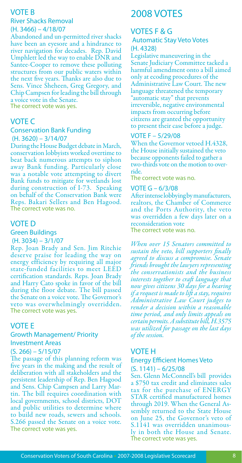#### VOTE B

#### River Shacks Removal (H. 3466) – 4/18/07

Abandoned and un-permitted river shacks have been an eyesore and a hindrance to river navigation for decades. Rep. David Umphlett led the way to enable DNR and Santee-Cooper to remove these polluting structures from our public waters within the next five years. Thanks are also due to Sens. Vince Sheheen, Greg Gregory, and Chip Campsen for leading the bill through a voice vote in the Senate. The correct vote was yes.

#### VOTE C

#### Conservation Bank Funding

(H. 3620) – 3/14/07

During the House Budget debate in March, conservation lobbyists worked overtime to beat back numerous attempts to siphon away Bank funding. Particularly close was a notable vote attempting to divert Bank funds to mitigate for wetlands lost during construction of I-73. Speaking on behalf of the Conservation Bank were Reps. Bakari Sellers and Ben Hagood. The correct vote was no.

#### VOTE D

Green Buildings

 $(H. 3034) - 3/1/07$ 

Rep. Joan Brady and Sen. Jim Ritchie deserve praise for leading the way on energy efficiency by requiring all major state-funded facilities to meet LEED certification standards. Reps. Joan Brady and Harry Cato spoke in favor of the bill during the floor debate. The bill passed the Senate on a voice vote. The Governor's veto was overwhelmingly overridden. The correct vote was yes.

#### VOTE E

#### Growth Management/ Priority Investment Areas

#### $(S. 266) - 5/15/07$

The passage of this planning reform was five years in the making and the result of deliberation with all stakeholders and the persistent leadership of Rep. Ben Hagood and Sens. Chip Campsen and Larry Martin. The bill requires coordination with local governments, school districts, DOT and public utilities to determine where to build new roads, sewers and schools. S.266 passed the Senate on a voice vote. The correct vote was yes.

#### 2008 VOTES

#### VOTES F & G

#### Automatic Stay Veto Votes (H. 4328)

Legislative maneuvering in the Senate Judiciary Committee tacked a harmful amendment onto a bill aimed only at ecoding procedures of the Administrative Law Court. The new language threatened the temporary "automatic stay" that prevents irreversible, negative environmental impacts from occurring before citizens are granted the opportunity to present their case before a judge.

#### VOTE F – 5/29/08

When the Governor vetoed H.4328, the House initially sustained the veto because opponents failed to gather a two-thirds vote on the motion to override.

The correct vote was no.

#### VOTE G – 6/3/08

After intense lobbying by manufacturers, realtors, the Chamber of Commerce and the Ports Authority, the veto was overridden a few days later on a reconsideration vote The correct vote was no.

*When over 15 Senators committed to sustain the veto, bill supporters finally agreed to discuss a compromise. Senate friends brought the lawyers representing the conservationists and the business interests together to craft language that now gives citizens 30 days for a hearing if a request is made to lift a stay, requires Administrative Law Court judges to render a decision within a reasonable time period, and only limits appeals on certain permits. A substitute bill, H.3575 was utilized for passage on the last days of the session.*

#### VOTE H

#### Energy Efficient Homes Veto  $(S. 1141) - 6/25/08$

Sen. Glenn McConnell's bill provides a \$750 tax credit and eliminates sales tax for the purchase of ENERGY STAR certified manufactured homes through 2019. When the General Assembly returned to the State House on June 25, the Governor's veto of ly in both the House and Senate. The correct vote was yes.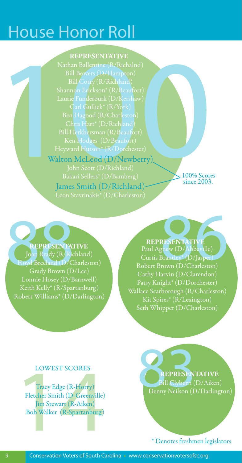## House Honor Roll

REPRESENTATIVE<br>
Nathan Ballentine (R/Richalnd)<br>
Bill Bowers (D/Hampton)<br>
Bill Corry (R/Richland)<br>
Shannon Erickson\* (R/Beaufort)<br>
Laurie Funderburk (D/Kershaw)<br>
Carl Gullick\* (R/York)<br>
Ben Hagood (R/Charleston)<br>
Chris Hart Bill Cotty (R/Richland) Shannon Erickson\* (R/Beaufort) Laurie Funderburk (D/Kershaw) Carl Gullick\* (R/York) Ben Hagood (R/Charleston) Chris Hart\* (D/Richland) Bill Herkbersman (R/Beaufort) Heyward Hutson\* (R/Dorchester) Walton McLeod (D/Newberry) John Scott (D/Richland) Bakari Sellers\* (D/Bamberg) James Smith (D/Richland) Leon Stavrinakis\* (D/Charleston) **REPRESENTATIVE**

100% Scores since 2003.

REPRESENTATIVE<br>
Joan Rrady (R. Richland)<br>
Floyd Breeland (D/Charleston)<br>
Grady Brown (D/Lee)<br>
Longia Haeve (D/Bagner)<br>
Curtis Brantley (D/Jasper)<br>
Robert Brown (D/Charleston)<br>
Cathy Harvin (D/Charleston) REPRESENTATIVE<br>Joan Rrady (R/Richland) Floyd Breeland (D/Charleston) Grady Brown (D/Lee) Lonnie Hosey (D/Barnwell) Keith Kelly\* (R/Spartanburg) Robert Williams\* (D/Darlington)

#### Paul Agnew (D/Abbeville) **REPRESENTATIVE REPRESENTATIVE**

Curtis Brantley\* (D/Jasper) Robert Brown (D/Charleston) Cathy Harvin (D/Clarendon) Patsy Knight\* (D/Dorchester) Wallace Scarborough (R/Charleston) Kit Spires\* (R/Lexington) Seth Whipper (D/Charleston)

#### LOWEST SCORES

EURES ENTATIVE<br>
Tracy Edge (R-Horry)<br>
Electher Smith (D-Greenville)<br>
Jim Stewart (R-Aiken)<br>
Bob Walker (R-Spartanburg)<br>
\* Denotes freshmen legislators<br>
\* Denotes freshmen legislators Fletcher Smith (D-Greenville) Jim Stewart (R-Aiken) Bob Walker (R-Spartanburg)

Bill Clyburn (D/Aiken)<br>Denny Neilson (D/Darlington) **REPRESENTATIVE**

\* Denotes freshmen legislators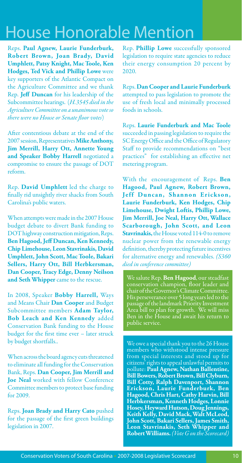## House Honorable Mention

Reps. **Paul Agnew, Laurie Funderburk, Robert Brown, Joan Brady, David Umphlett, Patsy Knight, Mac Toole, Ken Hodges, Ted Vick and Phillip Lowe** were key supporters of the Atlantic Compact on the Agriculture Committee and we thank Rep. **Jeff Duncan** for his leadership of the Subcommittee hearings. (*H.3545 died in the Agriculture Committee on a unanimous vote so there were no House or Senate floor votes*)

After contentious debate at the end of the 2007 session, Representatives **Mike Anthony, Jim Merrill, Harry Ott, Annette Young and Speaker Bobby Harrell** negotiated a compromise to ensure the passage of DOT reform.

Rep. **David Umphlett** led the charge to finally rid unsightly river shacks from South Carolina's public waters.

When attempts were made in the 2007 House budget debate to divert Bank funding to DOT highway construction mitigation, Reps. **Ben Hagood, Jeff Duncan, Ken Kennedy, Chip Limehouse, Leon Stavrinakis, David Umphlett, John Scott, Mac Toole, Bakari Sellers, Harry Ott, Bill Herbkersman, Dan Cooper, Tracy Edge, Denny Neilson and Seth Whipper** came to the rescue.

In 2008, Speaker **Bobby Harrell,** Ways and Means Chair **Dan Cooper** and Budget Subcommittee members **Adam Taylor, Bob Leach and Ken Kennedy** added Conservation Bank funding to the House budget for the first time ever – later struck by budget shortfalls..

When across the board agency cuts threatened to eliminate all funding for the Conservation Bank, Reps. **Dan Cooper, Jim Merrill and Joe Neal** worked with fellow Conference Committee members to protect base funding for 2009.

Reps. **Joan Brady and Harry Cato** pushed for the passage of the first green buildings legislation in 2007.

Rep. **Phillip Lowe** successfully sponsored legislation to require state agencies to reduce their energy consumption 20 percent by 2020.

Reps. **Dan Cooper and Laurie Funderburk**  attempted to pass legislation to promote the use of fresh local and minimally processed foods in schools.

Reps. **Laurie Funderburk and Mac Toole**  succeeded in passing legislation to require the SC Energy Office and the Office of Regulatory Staff to provide recommendations on "best practices" for establishing an effective net metering program.

With the encouragement of Reps. **Ben Hagood, Paul Agnew, Robert Brown, Jeff Duncan, Shannon Erickson, Laurie Funderburk, Ken Hodges, Chip Limehouse, Dwight Loftis, Phillip Lowe, Jim Merrill, Joe Neal, Harry Ott, Wallace Scarborough, John Scott, and Leon Stavrinakis,** the House voted 114-0 to remove nuclear power from the renewable energy definition, thereby protecting future incentives for alternative energy and renewables. *(S360 died in conference committee)*

We salute Rep. **Ben Hagood**, our steadfast conservation champion, floor leader and chair of the Governor's Climate Committee. His perseverance over 5 long years led to the passage of the landmark Priority Investment Area bill to plan for growth. We will miss Ben in the House and await his return to public service.

We owe a special thank you to the 26 House members who withstood intense pressure from special interests and stood up for citizens' rights to appeal unlawful permits to pollute: **Paul Agnew, Nathan Ballentine, Bill Bowers, Robert Brown, Bill Clyburn, Bill Cotty, Ralph Davenport, Shannon Erickson, Laurie Funderburk, Ben Hagood, Chris Hart, Cathy Harvin, Bill Herbkersman, Kenneth Hodges, Lonnie Hosey, Heyward Hutson, Doug Jennings, Keith Kelly, David Mack, Walt McLeod, John Scott, Bakari Sellers, James Smith, Leon Stavrinakis, Seth Whipper and Robert Williams.***(Vote G on the Scorecard)*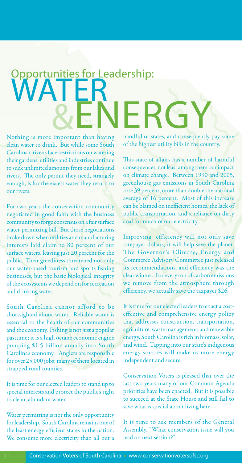# **&ENERGY** WATER Opportunities for Leadership:

Nothing is more important than having clean water to drink. But while some South Carolina citizens face restrictions on watering their gardens, utilities and industries continue to suck unlimited amounts from our lakes and rivers. The only permit they need, strangely enough, is for the excess water they return to our rivers.

For two years the conservation community negotiated in good faith with the business community to forge consensus on a fair surface water-permitting bill. But those negotiations broke down when utilities and manufacturing interests laid claim to 80 percent of our surface waters, leaving just 20 percent for the public. Their greediness threatened not only our water-based tourism and sports fishing businesses, but the basic biological integrity of the ecosystems we depend on for recreation and drinking water.

South Carolina cannot afford to be shortsighted about water. Reliable water is essential to the health of our communities and the economy. Fishing is not just a popular pasttime; it is a high octane economic engine pumping \$1.5 billion anually into South Carolina's economy. Anglers are responsible for over 25,000 jobs; many of them located in strapped rural counties.

It is time for our elected leaders to stand up to special interests and protect the public's right to clean, abundant water.

Water permitting is not the only opportunity for leadership. South Carolina remains one of the least energy efficient states in the nation. We consume more electricity than all but a

handful of states, and consequently pay some of the highest utility bills in the country.

This state of affairs has a number of harmful consequences, not least among them our impact on climate change. Between 1990 and 2005, greenhouse gas emissions in South Carolina rose 39 percent, more than double the national average of 16 percent. Most of this increase can be blamed on inefficient homes, the lack of public transportation, and a reliance on dirty coal for much of our electricity.

Improving efficiency will not only save ratepayer dollars, it will help save the planet. The Governor's Climate, Energy and Commerce Advisory Committee just released its recommendations, and efficiency was the clear winner. For every ton of carbon emissions we remove from the atmosphere through efficiency, we actually save the taxpayer \$26.

It is time for our elected leaders to enact a costeffective and comprehensive energy policy that addresses construction, transportation, agriculture, waste management, and renewable energy. South Carolina is rich in biomass, solar, and wind. Tapping into our state's indigenous energy sources will make us more energy independent and secure.

Conservation Voters is pleased that over the last two years many of our Common Agenda priorities have been enacted. But it is possible to succeed at the State House and still fail to save what is special about living here.

It is time to ask members of the General Assembly, "What conservation issue will you lead on next session?"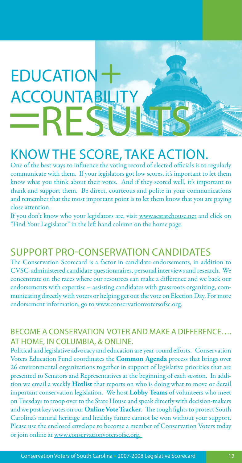# ACCOUNTABILITY **EDUCATIO**  $+$ RESTERS

### Know the score, take action.

One of the best ways to influence the voting record of elected officials is to regularly communicate with them. If your legislators got low scores, it's important to let them know what you think about their votes. And if they scored well, it's important to thank and support them. Be direct, courteous and polite in your communications and remember that the most important point is to let them know that you are paying close attention.

If you don't know who your legislators are, visit www.scstatehouse.net and click on "Find Your Legislator" in the left hand column on the home page.

#### Support pro-conservation candidates

The Conservation Scorecard is a factor in candidate endorsements, in addition to CVSC-administered candidate questionnaires, personal interviews and research. We concentrate on the races where our resources can make a difference and we back our endorsements with expertise – assisting candidates with grassroots organizing, communicating directly with voters or helping get out the vote on Election Day. For more endorsement information, go to www.conservationvotersofsc.org.

#### Become a Conservation Voter and make a difference…. at home, in Columbia, & online.

Political and legislative advocacy and education are year-round efforts. Conservation Voters Education Fund coordinates the **Common Agenda** process that brings over 26 environmental organizations together in support of legislative priorities that are presented to Senators and Representatives at the beginning of each session. In addition we email a weekly **Hotlist** that reports on who is doing what to move or derail important conservation legislation. We host **Lobby Teams** of volunteers who meet on Tuesdays to troop over to the State House and speak directly with decision-makers and we post key votes on our **Online Vote Tracker**. The tough fights to protect South Carolina's natural heritage and healthy future cannot be won without your support. Please use the enclosed envelope to become a member of Conservation Voters today or join online at www.conservationvotersofsc.org.